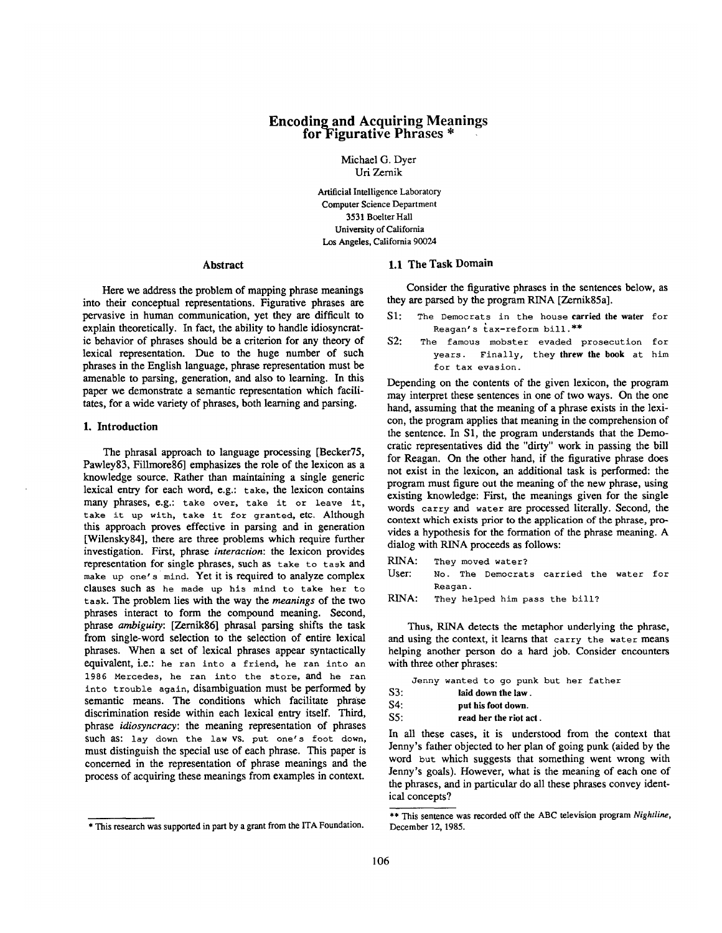# **Encoding and Acquiring Meanings for-Figurative Phrases \***

Michael G. Dyer Uri Zernik

Artificial Intelligence Laboratory Computer Science Department 3531 Boelter Hall **University** of California Los Angeles, California 90024

Here we address the problem of mapping phrase meanings into their conceptual representations. Figurative phrases are pervasive in human communication, yet they are difficult to explain theoretically. In fact, the ability to handle idiosyncratic behavior of phrases should be a criterion for any theory of lexical representation. Due to the huge number of such phrases in the English language, phrase representation must be amenable to parsing, generation, and also to learning. In this paper we demonstrate a semantic representation which facilitates, for a wide variety of phrases, both learning and parsing.

## **1. Introduction**

The phrasal approach to language processing [Becker75, Pawley83, Fillmore86] emphasizes the role of the lexicon as a knowledge source. Rather than maintaining a single generic lexical entry for each word, e.g.: take, the lexicon contains many phrases, e.g.: take over, take it or leave it, take it up with, take it for granted, etc. Although this approach proves effective in parsing and in generation [Wilensky84], there are three problems which require further investigation. First, phrase *interaction: the* lexicon provides representation for single phrases, such as take to task and make up one's mind. Yet it is required to analyze complex clauses such as he made up his mind to take her to task. The problem lies with the way the *meanings* of the two phrases interact to form the compound meaning. Second, phrase *ambiguity:* [Zernik86] phrasal parsing shifts the task from single-word selection to the selection of entire lexical phrases. When a set of lexical phrases appear syntactically equivalent, i.e.: he ran into a friend, he ran into an 1986 Mercedes, he ran into the store, and he ran into trouble again, disambiguation must be performed by semantic means. The conditions which facilitate phrase discrimination reside within each lexical entry itself. Third, phrase *idiosyncracy:* the meaning representation of phrases such as: lay down the law VS. put one's foot down, must distinguish the special use of each phrase. This paper is concerned in the representation of phrase meanings and the process of acquiring these meanings from examples in context.

## **Abstract 1.1 The Task Domain**

Consider the figurative phrases in the sentences below, as they are parsed by the program RINA [Zernik85a].

- S1: The Democrats in the house carried the water for Reagan's tax-reform bill.\*\*
- S2: The famous mobster evaded prosecution for years. Finally, they **threw the** book at him for tax evasion.

Depending on the contents of the given lexicon, the program may interpret these sentences in one of two ways. On the one hand, assuming that the meaning of a phrase exists in the lexicon, the program applies that meaning in the comprehension of the sentence. In S1, the program understands that the Democratic representatives did the "dirty" work in passing the bill for Reagan. On the other hand, if the figurative phrase does not exist in the lexicon, an additional task is performed: the program must figure out the meaning of the new phrase, using existing knowledge: First, the meanings given for the single words carry and water are processed literally. Second, the context which exists prior to the application of the phrase, provides a hypothesis for the formation of the phrase meaning. A dialog with RINA proceeds as follows:

RINA: They moved water? User: No. The Democrats carried the water for Reagan.

Thus, RINA detects the metaphor underlying the phrase, and using the context, it learns that carry the water means helping another person do a hard job. Consider encounters with three other phrases:

|     |                        | Jenny wanted to go punk but her father              |  |  |  |  |  |
|-----|------------------------|-----------------------------------------------------|--|--|--|--|--|
| S3: |                        | laid down the law.                                  |  |  |  |  |  |
| S4: | put his foot down.     |                                                     |  |  |  |  |  |
| SS: | read her the riot act. |                                                     |  |  |  |  |  |
|     |                        | . Ta all dhaca casas it is condomntand fasan the se |  |  |  |  |  |

In all these cases, it is understood from the context that Jenny's father objected to her plan of going punk (aided by the word but which suggests that something went wrong with Jenny's goals). However, what is the meaning of each one of the phrases, and in particular do all these phrases convey identical concepts?

<sup>\*</sup> This research was supported in part by a grant from the ITA Foundation.

RINA: They helped him pass the bill?

<sup>\*\*</sup> This sentence was recorded off the ABC television program *Nightline*, December 12, 1985.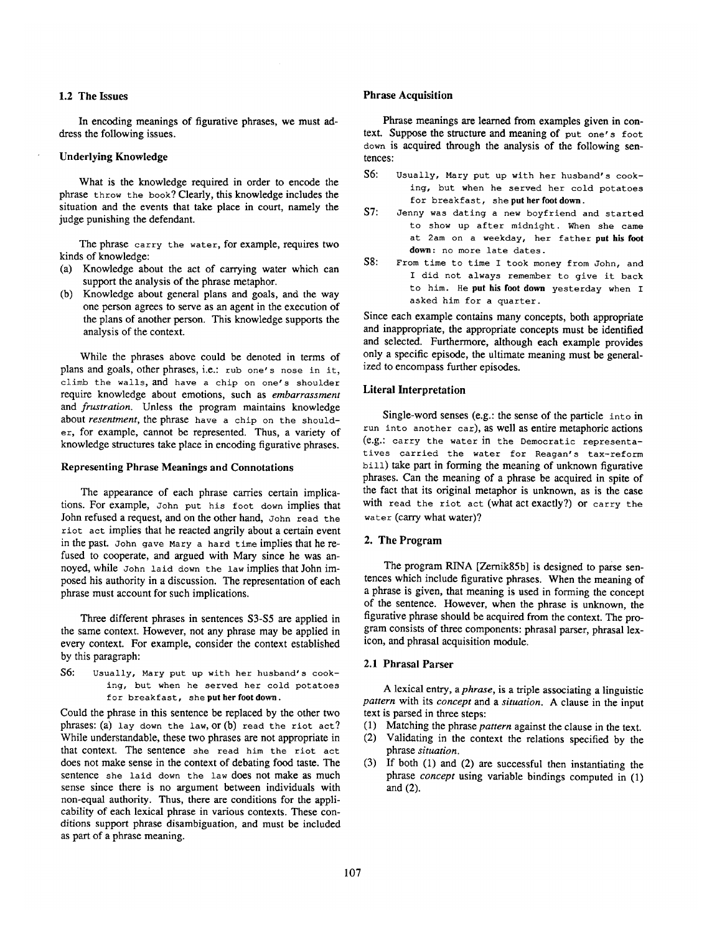# 1.2 The Issues

In encoding meanings of figurative phrases, we must address the following issues.

## **Underlying Knowledge**

What is the knowledge required in order to encode the phrase throw the book? Clearly, this knowledge includes the situation and the events that take place in court, namely the judge punishing the defendant.

The phrase carry the water, for example, requires two kinds of knowledge:

- (a) Knowledge about the act of carrying water which can support the analysis of the phrase metaphor.
- (b) Knowledge about general plans and goals, and the way one person agrees to serve as an agent in the execution of the plans of another person. This knowledge supports the analysis of the context.

While the phrases above could be denoted in terms of plans and goals, other phrases, i.e.: rub one's nose in it, climb the walls, and have a chip on one's shoulder require knowledge about emotions, such as *embarrassment*  and *frustration.* Unless the program maintains knowledge about *resentment,* the phrase have a chip on the shoulder, for example, cannot be represented. Thus, a variety of knowledge structures take place in encoding figurative phrases.

## **Representing Phrase Meanings and Connotations**

The appearance of each phrase carries certain implications. For example, John put his foot down implies that John refused a request, and on the other hand, John read the riot act implies that he reacted angrily about a certain event in the past. John gave Mary a hard time implies that he refused to cooperate, and argued with Mary since he was annoyed, while John laid down the law implies that John imposed his authority in a discussion. The representation of each phrase must account for such implications.

Three different phrases in sentences S3-S5 are applied in the same context. However, not any phrase may be applied in every context. For example, consider the context established by this paragraph:

S6: Usually, Mary put up with her husband's cooking, but when he served her cold potatoes for breakfast, she **put her foot** down.

Could the phrase in this sentence be replaced by the other two phrases: (a) lay down the law, or (b) read the riot act? While understandable, these two phrases are not appropriate in that context. The sentence she read him the riot act does not make sense in the context of debating food taste. The sentence she laid down the law does not make as much sense since there is no argument between individuals with non-equal authority. Thus, there are conditions for the applicability of each lexical phrase in various contexts. These conditions support phrase disambiguation, and must be included as part of a phrase meaning.

#### **Phrase Acquisition**

Phrase meanings are learned from examples given in context. Suppose the structure and meaning of put one's foot down is acquired through the analysis of the following sentences:

- S6: Usually, Mary put up with her husband's cooking, but when he served her cold potatoes for breakfast, she **put her foot** down.
- S7: Jenny was dating a new boyfriend and started to show up after midnight. When she came at 2am on a weekday, her father **put his foot down:** no more late dates.
- 58: From time to time I took money from John, and I did not always remember to give it back to him. He **put his foot down** yesterday when I asked him for a quarter.

Since each example contains many concepts, both appropriate and inappropriate, the appropriate concepts must be identified and selected. Furthermore, although each example provides only a specific episode, the ultimate meaning must be generalized to encompass further episodes.

## **Literal Interpretation**

Single-word senses (e.g.: the sense of the panicle into in run into another ear), as well as entire metaphoric actions (e.g.: carry the water in the Democratic representatives carried the water for Reagan's tax-reform bill) take part in forming the meaning of unknown figurative phrases. Can the meaning of a phrase be acquired in spite of the fact that its original metaphor is unknown, as is the case with read the riot act (what act exactly?) or carry the water (carry what water)?

## **2. The Program**

The program RINA [Zernik85b] is designed to parse sentences which include figurative phrases. When the meaning of a phrase is given, that meaning is used in forming the concept of the sentence. However, when the phrase is unknown, **the**  figurative phrase should be acquired from the context. The program consists of three components: phrasal parser, phrasal lexicon, and phrasal acquisition module.

## **2.1 Phrasal Parser**

A lexical entry, a *phrase,* is a triple associating a linguistic *pattern* with its *concept* and a *situation. A* clause in the input text is parsed in three steps:

- (1) Matching the phrase *pattern* against the clause in the text.
- (2) Validating in the context the relations specified by the phrase *situation.*
- (3) If both (1) and (2) are successful then instantiating the phrase *concept* using variable bindings computed in (1) and (2).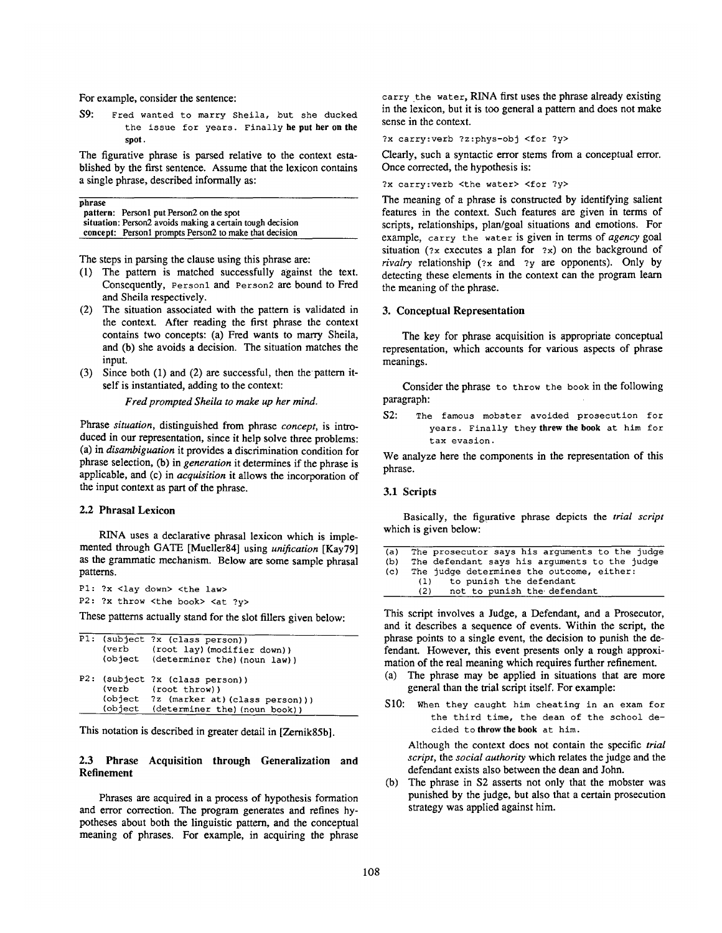For example, consider the sentence:

S9: Fred wanted to marry Sheila, but she ducked the issue for years. Finally **he put her on the**  spot.

The figurative phrase is parsed relative to the context established by the first sentence. Assume that the lexicon contains a single phrase, described informally as:

| phrase |                                                           |
|--------|-----------------------------------------------------------|
|        | pattern: Person1 put Person2 on the spot                  |
|        | situation: Person2 avoids making a certain tough decision |
|        | concept: Person1 prompts Person2 to make that decision    |

The steps in parsing the clause using this phrase are:

- (1) The pattern is matched successfully against the text. Consequently, Personl and person2 are bound to Fred and Sheila respectively.
- (2) The situation associated with the pattern is validated in the context. After reading the first phrase the context contains two concepts: (a) Fred wants to marry Sheila, and (b) she avoids a decision. The situation matches the input.
- (3) Since both (1) and (2) are successful, then the pattern itself is instantiated, adding to the context:

*Fred prompted Sheila to make up her mind.* 

Phrase *situation,* distinguished from phrase *concept,* is introduced in our representation, since it help solve three problems: (a) in *disambiguation* it provides a discrimination condition for phrase selection, (b) in *generation* it determines if the phrase is applicable, and (c) in *acquisition* it allows the incorporation of the input context as part of the phrase.

#### **2.2 Phrasal Lexicon**

RINA uses a declarative phrasal lexicon which is implemented through GATE [Mueller84] using *unification* [Kay79] as the grammatic mechanism. Below are some sample phrasal patterns.

PI: ?x <lay down> <the law>

P2: ?x throw <the book> <at ?v>

These patterns actually stand for the slot fillers given below:

| (verb   | (root lay) (modifier down))<br>(object (determiner the) (noun law))<br>P2: (subject ?x (class person))<br>(verb (root throw)) |  |
|---------|-------------------------------------------------------------------------------------------------------------------------------|--|
| (object | (object ?z (marker at) (class person)))<br>(determiner the) (noun book))                                                      |  |

This notation is described in greater detail in [Zernik85b].

## 2.3 Phrase Acquisition through Generalization and Refinement

Phrases are acquired in a process of hypothesis formation and error correction. The program generates and refines hypotheses about both the linguistic pattern, and the conceptual meaning of phrases. For example, in acquiring the phrase

carry the water, RINA first uses the phrase already existing in the lexicon, but it is too general a pattern and does not make sense in the context.

?x carry:verb ?z:phys-obj <for ?y>

Clearly, such a syntactic error stems from a conceptual error. Once corrected, the hypothesis is:

?x carry: verb < the water> < for ? y>

The meaning of a phrase is constructed by identifying salient features in the context. Such features are given in terms of scripts, relationships, plan/goal situations and emotions. For example, carry the water is given in terms of *agency* goal situation ( $2x$  executes a plan for  $2x$ ) on the background of *rivalry* relationship (?x and ?y are opponents). Only by detecting these elements in the context can the program learn the meaning of the phrase.

## 3. Conceptual Representation

The key for phrase acquisition is appropriate conceptual representation, which accounts for various aspects of phrase meanings.

Consider the phrase to throw the book in the following paragraph:

S2: The famous mobster avoided prosecution for years. Finally they **threw the** book at him for tax evasion.

We analyze here the components in the representation of this phrase.

#### 3.1 **Scripts**

Basically, the figurative phrase depicts the *trial script*  which is given below:

| (a) | The prosecutor says his arguments to the judge |
|-----|------------------------------------------------|
| (b) | The defendant says his arguments to the judge  |
| (c) | The judge determines the outcome, either:      |
|     | to punish the defendant<br>(1)                 |
|     | not to punish the defendant<br>(2)             |
|     |                                                |

This script involves a Judge, a Defendant, and a Prosecutor, and it describes a sequence of events. Within the script, the phrase points to a single event, the decision to punish the defendant. However, this event presents only a rough approximation of the real meaning which requires further refinement.

- (a) The phrase may be applied in situations that are more general than the trial script itself. For example:
- Sl0: When they caught him cheating in an exam for the third time, the dean of the school decided to **throw the** book at him.

Although the context does not contain the specific *trial script,* the *social authority* which relates the judge and the defendant exists also between the dean and John.

(b) The phrase in \$2 asserts not only that the mobster was punished by the judge, but also that a certain prosecution strategy was applied against him.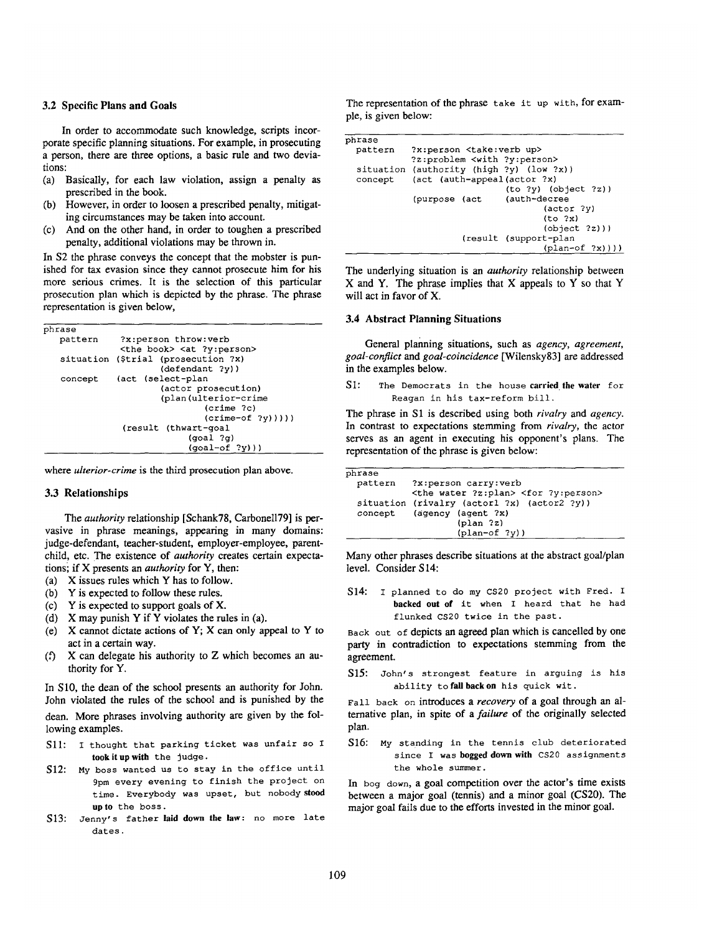#### 3.2 Specific **Plans and Goals**

In order to accommodate such knowledge, scripts incorporate specific planning situations. For example, in prosecuting a person, there are three options, a basic rule and two deviations:

- (a) Basically, for each law violation, assign a penalty as prescribed in the book.
- (b) However, in order to loosen a prescribed penalty, mitigating circumstances may be taken into account.
- (c) And on the other hand, in order to toughen a prescribed penalty, additional violations may be thrown in.

In S2 the phrase conveys the concept that the mobster is punished for tax evasion since they cannot prosecute him for his more serious crimes. It is the selection of this particular prosecution plan which is depicted by the phrase. The phrase representation is given below,

| phrase  |                                                                                                                                                                  |
|---------|------------------------------------------------------------------------------------------------------------------------------------------------------------------|
| pattern | ?x:person throw:verb<br><the book=""> <at ?y:person=""></at></the>                                                                                               |
|         | situation (\$trial (prosecution ?x)<br>$(\text{defendant } ?y)$ )                                                                                                |
| concept | (act (select-plan<br>(actor prosecution)<br>(plan(ulterior-crime<br>(crime ?c)<br>$(c$ rime-of $?y))$ ))<br>(result (thwart-goal<br>(qoal 2q)<br>$(qoal-of ?y))$ |
|         |                                                                                                                                                                  |

where *ulterior-crime* is the third prosecution plan above.

## 3.3 **Relationships**

The *authority* relationship [Schank78, Carbonel179] is pervasive in phrase meanings, appearing in many domains: judge-defendant, teacher-student, employer-employee, parentchild, etc. The existence of *authority* creates certain expectationsi if X presents an *authority* for Y, then:

- (a) X issues rules which Y has to follow.
- (b) Y is expected to follow these rules.
- (c) Y is expected to support goals of X.
- (d) X may punish Y if Y violates the rules in (a).
- (e) X cannot dictate actions of Y; X can only appeal to Y to act in a certain way.
- (f)  $X$  can delegate his authority to  $Z$  which becomes an authority for Y.

In S10, the dean of the school presents an authority for John. John violated the rules of the school and is punished by the dean. More phrases involving authority are given by the following examples.

- S11: I thought that parking ticket was unfair so I took it up with the Judge.
- S12: My boss wanted us to stay in the office until 9pm every evening to finish the project on time. Everybody was upset, but nobody stood up to the boss.
- S13: Jenny's father laid down the law: no more late dates.

The representation of the phrase take it up with, for example, is given below:

| phrase  |                                         |  |                                          |  |  |
|---------|-----------------------------------------|--|------------------------------------------|--|--|
| pattern | ?x:person <take:verb up=""></take:verb> |  |                                          |  |  |
|         |                                         |  | ?z:problem <with ?y:person=""></with>    |  |  |
|         |                                         |  | situation (authority (high ?y) (low ?x)) |  |  |
| concept |                                         |  | (act (auth-appeal(actor ?x)              |  |  |
|         |                                         |  | (to 2y) (object 2z)                      |  |  |
|         | (purpose (act                           |  | (auth-decree                             |  |  |
|         |                                         |  | (actor ?v)                               |  |  |
|         |                                         |  | (to 2x)                                  |  |  |
|         |                                         |  | (object ?z))                             |  |  |
|         |                                         |  | (result (support-plan                    |  |  |
|         |                                         |  | $(\text{plan-of } ?x))$ )                |  |  |
|         |                                         |  |                                          |  |  |

The underlying situation is an *authority* relationship between X and Y. The phrase implies that X appeals to Y so that Y will act in favor of X.

# **3.4 Abstract Planning Situations**

General planning situations, such as *agency, agreement, goal-conflict and goal-coincidence* [Wilensky83] are addressed in the examples below.

S1: The Democrats in the house carried the water for Reagan in his tax-reform bill.

The phrase in S1 is described using both *rivalry and agency.*  In contrast to expectations stemming from *rivalry,* the actor serves as an agent in executing his opponent's plans. The representation of the phrase is given below:

| phrase  |                                                          |
|---------|----------------------------------------------------------|
| pattern | ?x:person carry:verb                                     |
|         | <the ?z:plan="" water=""> <for ?y:person=""></for></the> |
|         | situation (rivalry (actorl ?x) (actor2 ?y))              |
|         | concept (agency (agent ?x)                               |
|         | $(\text{plan } ?z)$                                      |
|         | $\left(\text{plan-of } ?\text{V}\right)$                 |

Many other phrases describe situations at the abstract goal/plan level. Consider S14:

S14: I planned to do my CS20 project with Fred. I backed out of it when I heard that he had flunked CS20 twice in the past.

Back out of depicts an agreed plan which is cancelled by one party in contradiction to expectations stemming from the agreement.

S15: John's strongest feature in arguing is his ability to fall back on his quick wit.

Fall back on introduces a *recovery* of a goal through an alternative plan, in spite of a *failure* of the originally selected plan.

516: My standing in the tennis club deteriorated since I was bogged down with CS20 assignments the whole summer.

In bog down, a goal competition over the actor's time exists between a major goal (tennis) and a minor goal (CS20). The major goal fails due to the efforts invested in the minor goal.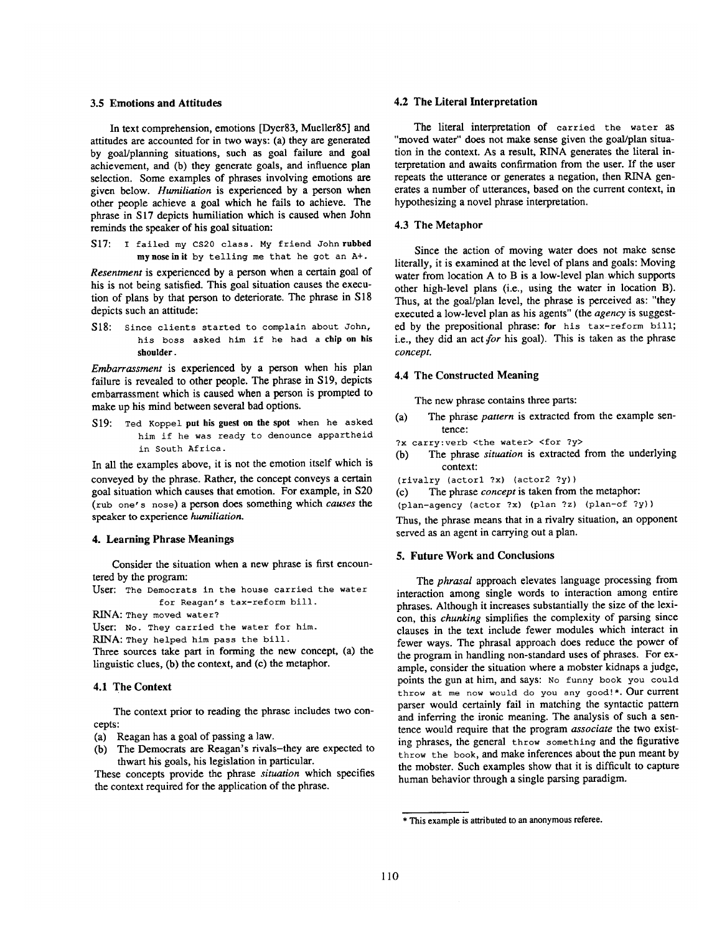## **3.5 Emotions and Attitudes**

In text comprehension, emotions [Dyer83, Mueller85] and attitudes are accounted for in two ways: (a) they are generated by goal/planning situations, such as goal failure and goal achievement, and (b) they generate goals, and influence plan selection. Some examples of phrases involving emotions **are**  given below. *Humiliation* is experienced by a person when other people achieve a goal which he falls to achieve. The phrase in S17 depicts humiliation which is caused when John reminds the speaker of his goal situation:

S17: I failed my CS20 class. My friend John **rubbed**  my nose in it by telling me that he got an A+.

*Resentment* is experienced by a person when a certain goal of his is not being satisfied. This goal situation causes the execution of plans by that person to deteriorate. The phrase in S18 depicts such an attitude:

S18: Since clients started to complain about John, his boss asked him if he had a **chip on his shoulder.** 

*Embarrassment* is experienced by a person when his plan failure is revealed to other people. The phrase in S19, depicts embarrassment which is caused when a person is prompted to make up his mind between several bad options.

519: Ted Koppel **put his guest on the spot** when he asked him if he was ready to denounce appartheid in South Africa.

In all the examples above, it is not the emotion itself which is conveyed by the phrase. Rather, the concept conveys a certain goal situation which causes that emotion. For example, in \$20 (rub one' s nose) a person does something which *causes the*  speaker to experience *humiliation.* 

## **4. Learning Phrase Meanings**

Consider the situation when a new phrase is first encountered by the program:

User: The Democrats in the house carried the water for Reagan's tax-reform bill.

RINA: They moved water?

User: No. They carried the water for him.

RINA: They helped him pass the bill.

Three sources take part in forming the new concept, (a) the linguistic clues, (b) the context, and (c) the metaphor.

## **4.1 The Context**

The context prior to reading the phrase includes two concepts:

- (a) Reagan has a goal of passing a law.
- (b) The Democrats are Reagan's rivals-they are expected to thwart his goals, his legislation in particular.

These concepts provide the phrase *situation* which specifies the context required for the application of the phrase.

#### **4.2 The Literal Interpretation**

The literal interpretation of carried the water as "moved water" does not make sense given the goal/plan situation in the context. As a result, RINA generates the literal interpretation and awaits confirmation from the user. If the user repeats the utterance or generates a negation, then RINA generates a number of utterances, based on the current context, in hypothesizing a novel phrase interpretation.

## **4.3 The Metaphor**

Since the action of moving water does not make sense literally, it is examined at the level of plans and goals: Moving water from location A to B is a low-level plan which supports other high-level plans (i.e., using the water in location B). Thus, at the goal/plan level, the phrase is perceived as: "they executed a low-level plan as his agents" (the *agency* is suggested by the prepositional phrase: for his tax-reform bill; i.e., they did an act for his goal). This is taken as the phrase *concept.* 

#### **4.4 The Constructed Meaning**

The new phrase contains three parts:

- (a) The phrase *pattern* is extracted from the example sentence:
- ?x carry: verb <the water> <for ?y>
- (b) The phrase *situation* is extracted from the underlying context:
- (rivalry (actorl ?x) (actor2 ?y))
- (c) The phrase *concept* is taken from the metaphor:

(plan-agency (actor ?x) (plan ?z) (plan-of ?y))

Thus, the phrase means that in a rivalry situation, an opponent served as an agent in carrying out a plan.

#### 5. Future Work and Conclusions

The *phrasal* approach elevates language processing from interaction among single words to interaction among entire phrases. Although it increases substantially the size of the lexicon, this *chunking* simplifies the complexity of parsing since clauses in the text include fewer modules which interact in fewer ways. The phrasal approach does reduce the power of the program in handling non-standard uses of phrases. For example, consider the situation where a mobster kidnaps a judge, points the gun at him, and says: No funny book you could throw at me now would do you any good!\*. Our current parser would certainly fail in matching the syntactic pattern and inferring the ironic meaning. The analysis of such a sentence would require that the program *associate* the two existing phrases, the general throw something and the figurative throw the book, and make inferences about the pun meant by the mobster. Such examples show that it is difficult to capture human behavior through a single parsing paradigm.

<sup>\*</sup> This example is attributed to an anonymous **referee.**